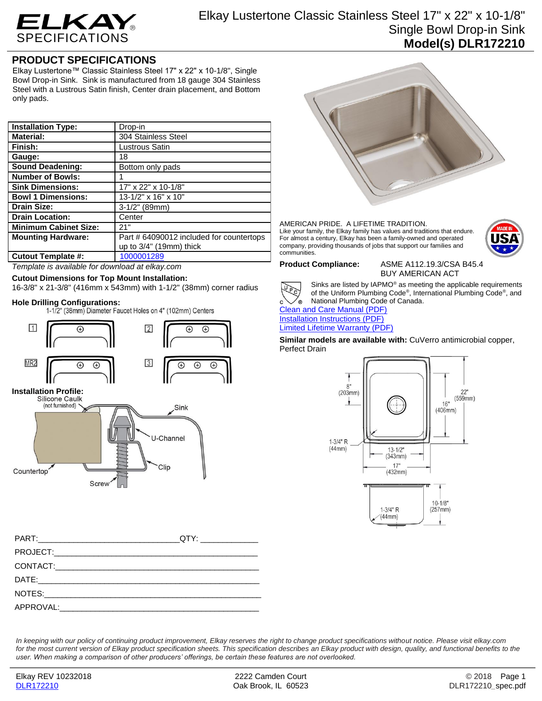

## **PRODUCT SPECIFICATIONS**

Elkay Lustertone™ Classic Stainless Steel 17" x 22" x 10-1/8", Single Bowl Drop-in Sink. Sink is manufactured from 18 gauge 304 Stainless Steel with a Lustrous Satin finish, Center drain placement, and Bottom only pads.

| <b>Installation Type:</b>    | Drop-in                                  |
|------------------------------|------------------------------------------|
| <b>Material:</b>             | 304 Stainless Steel                      |
| Finish:                      | Lustrous Satin                           |
| Gauge:                       | 18                                       |
| <b>Sound Deadening:</b>      | Bottom only pads                         |
| <b>Number of Bowls:</b>      |                                          |
| <b>Sink Dimensions:</b>      | 17" x 22" x 10-1/8"                      |
| <b>Bowl 1 Dimensions:</b>    | 13-1/2" x 16" x 10"                      |
| <b>Drain Size:</b>           | $3-1/2$ " (89mm)                         |
| <b>Drain Location:</b>       | Center                                   |
| <b>Minimum Cabinet Size:</b> | 21"                                      |
| <b>Mounting Hardware:</b>    | Part # 64090012 included for countertops |
|                              | up to $3/4$ " (19mm) thick               |
| <b>Cutout Template #:</b>    | 1000001289                               |

*Template is available for download at elkay.com*

## **Cutout Dimensions for Top Mount Installation:**

Screw

16-3/8" x 21-3/8" (416mm x 543mm) with 1-1/2" (38mm) corner radius

**Hole Drilling Configurations:**



U-Channel

Clip





### AMERICAN PRIDE. A LIFETIME TRADITION. Like your family, the Elkay family has values and traditions that endure. For almost a century, Elkay has been a family-owned and operated company, providing thousands of jobs that support our families and communities.



**Product Compliance:** ASME A112.19.3/CSA B45.4 BUY AMERICAN ACT



Sinks are listed by IAPMO® as meeting the applicable requirements of the Uniform Plumbing Code® , International Plumbing Code® , and National Plumbing Code of Canada.

**[Clean and Care Manual \(PDF\)](http://www.elkay.com/wcsstore/lkdocs/care-cleaning-install-warranty-sheets/residential%20and%20commercial%20care%20%20cleaning.pdf)** [Installation Instructions \(PDF\)](http://www.elkay.com/wcsstore/lkdocs/care-cleaning-install-warranty-sheets/74180147.pdf) [Limited Lifetime Warranty](http://www.elkay.com/wcsstore/lkdocs/care-cleaning-install-warranty-sheets/residential%20sinks%20warranty.pdf) (PDF)

**Similar models are available with:** CuVerro antimicrobial copper, Perfect Drain



*In keeping with our policy of continuing product improvement, Elkay reserves the right to change product specifications without notice. Please visit elkay.com*  for the most current version of Elkay product specification sheets. This specification describes an Elkay product with design, quality, and functional benefits to the *user. When making a comparison of other producers' offerings, be certain these features are not overlooked.*

Countertop<sup>®</sup>